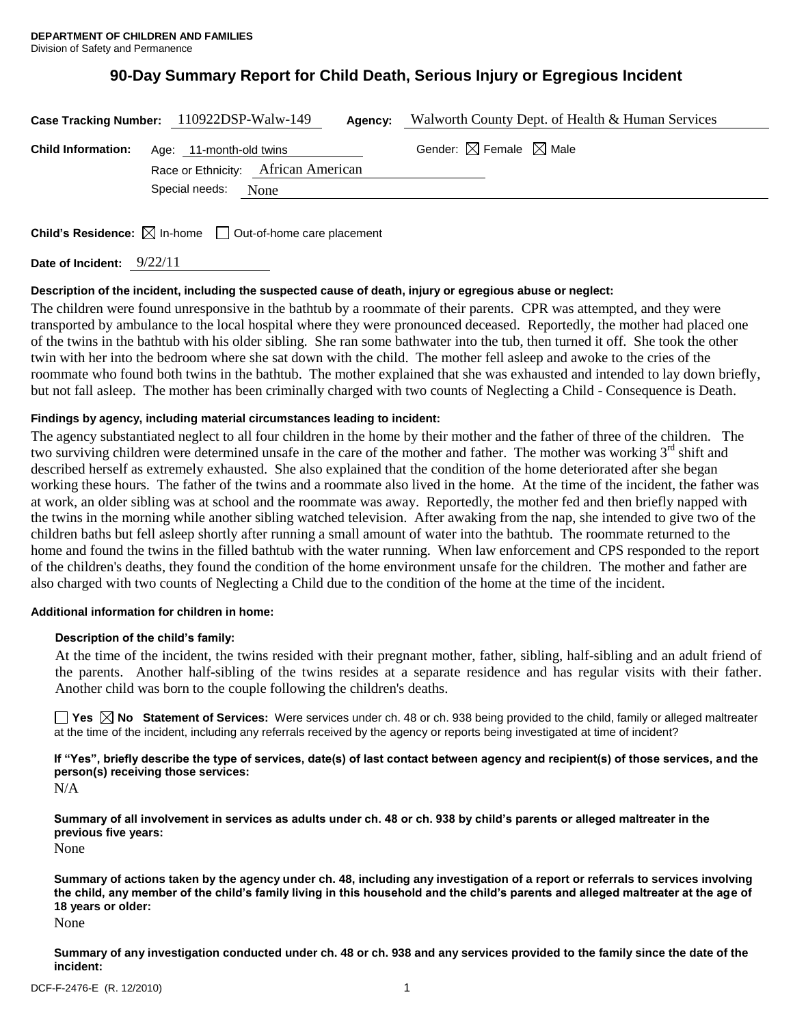# **90-Day Summary Report for Child Death, Serious Injury or Egregious Incident**

|                           | Case Tracking Number: 110922DSP-Walw-149<br>Agency:            | Walworth County Dept. of Health & Human Services |
|---------------------------|----------------------------------------------------------------|--------------------------------------------------|
| <b>Child Information:</b> | Age: 11-month-old twins<br>Race or Ethnicity: African American | Gender: $\boxtimes$ Female $\boxtimes$ Male      |
|                           | Special needs:<br>None                                         |                                                  |

**Child's Residence:**  $\boxtimes$  In-home  $\Box$  Out-of-home care placement

**Date of Incident:** 9/22/11

#### **Description of the incident, including the suspected cause of death, injury or egregious abuse or neglect:**

The children were found unresponsive in the bathtub by a roommate of their parents. CPR was attempted, and they were transported by ambulance to the local hospital where they were pronounced deceased. Reportedly, the mother had placed one of the twins in the bathtub with his older sibling. She ran some bathwater into the tub, then turned it off. She took the other twin with her into the bedroom where she sat down with the child. The mother fell asleep and awoke to the cries of the roommate who found both twins in the bathtub. The mother explained that she was exhausted and intended to lay down briefly, but not fall asleep. The mother has been criminally charged with two counts of Neglecting a Child - Consequence is Death.

# **Findings by agency, including material circumstances leading to incident:**

The agency substantiated neglect to all four children in the home by their mother and the father of three of the children. The two surviving children were determined unsafe in the care of the mother and father. The mother was working 3<sup>rd</sup> shift and described herself as extremely exhausted. She also explained that the condition of the home deteriorated after she began working these hours. The father of the twins and a roommate also lived in the home. At the time of the incident, the father was at work, an older sibling was at school and the roommate was away. Reportedly, the mother fed and then briefly napped with the twins in the morning while another sibling watched television. After awaking from the nap, she intended to give two of the children baths but fell asleep shortly after running a small amount of water into the bathtub. The roommate returned to the home and found the twins in the filled bathtub with the water running. When law enforcement and CPS responded to the report of the children's deaths, they found the condition of the home environment unsafe for the children. The mother and father are also charged with two counts of Neglecting a Child due to the condition of the home at the time of the incident.

#### **Additional information for children in home:**

#### **Description of the child's family:**

At the time of the incident, the twins resided with their pregnant mother, father, sibling, half-sibling and an adult friend of the parents. Another half-sibling of the twins resides at a separate residence and has regular visits with their father. Another child was born to the couple following the children's deaths.

**No** Statement of Services: Were services under ch. 48 or ch. 938 being provided to the child, family or alleged maltreater at the time of the incident, including any referrals received by the agency or reports being investigated at time of incident?

**If "Yes", briefly describe the type of services, date(s) of last contact between agency and recipient(s) of those services, and the person(s) receiving those services:**

N/A

**Summary of all involvement in services as adults under ch. 48 or ch. 938 by child's parents or alleged maltreater in the previous five years:**

None

**Summary of actions taken by the agency under ch. 48, including any investigation of a report or referrals to services involving the child, any member of the child's family living in this household and the child's parents and alleged maltreater at the age of 18 years or older:**

None

**Summary of any investigation conducted under ch. 48 or ch. 938 and any services provided to the family since the date of the incident:**